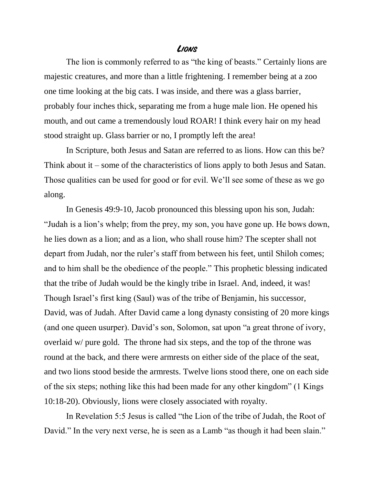## **Lions**

The lion is commonly referred to as "the king of beasts." Certainly lions are majestic creatures, and more than a little frightening. I remember being at a zoo one time looking at the big cats. I was inside, and there was a glass barrier, probably four inches thick, separating me from a huge male lion. He opened his mouth, and out came a tremendously loud ROAR! I think every hair on my head stood straight up. Glass barrier or no, I promptly left the area!

In Scripture, both Jesus and Satan are referred to as lions. How can this be? Think about it – some of the characteristics of lions apply to both Jesus and Satan. Those qualities can be used for good or for evil. We'll see some of these as we go along.

In Genesis 49:9-10, Jacob pronounced this blessing upon his son, Judah: "Judah is a lion's whelp; from the prey, my son, you have gone up. He bows down, he lies down as a lion; and as a lion, who shall rouse him? The scepter shall not depart from Judah, nor the ruler's staff from between his feet, until Shiloh comes; and to him shall be the obedience of the people." This prophetic blessing indicated that the tribe of Judah would be the kingly tribe in Israel. And, indeed, it was! Though Israel's first king (Saul) was of the tribe of Benjamin, his successor, David, was of Judah. After David came a long dynasty consisting of 20 more kings (and one queen usurper). David's son, Solomon, sat upon "a great throne of ivory, overlaid w/ pure gold. The throne had six steps, and the top of the throne was round at the back, and there were armrests on either side of the place of the seat, and two lions stood beside the armrests. Twelve lions stood there, one on each side of the six steps; nothing like this had been made for any other kingdom" (1 Kings 10:18-20). Obviously, lions were closely associated with royalty.

In Revelation 5:5 Jesus is called "the Lion of the tribe of Judah, the Root of David." In the very next verse, he is seen as a Lamb "as though it had been slain."